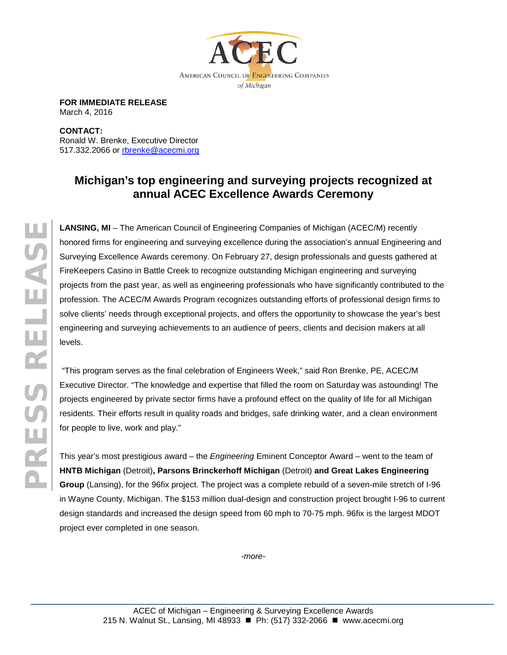

**FOR IMMEDIATE RELEASE** March 4, 2016

**CONTACT:**  Ronald W. Brenke, Executive Director 517.332.2066 or [rbrenke@acecmi.org](mailto:rbrenke@acecmi.org)

## **Michigan's top engineering and surveying projects recognized at annual ACEC Excellence Awards Ceremony**

**LANSING, MI** – The American Council of Engineering Companies of Michigan (ACEC/M) recently honored firms for engineering and surveying excellence during the association's annual Engineering and Surveying Excellence Awards ceremony. On February 27, design professionals and guests gathered at FireKeepers Casino in Battle Creek to recognize outstanding Michigan engineering and surveying projects from the past year, as well as engineering professionals who have significantly contributed to the profession. The ACEC/M Awards Program recognizes outstanding efforts of professional design firms to solve clients' needs through exceptional projects, and offers the opportunity to showcase the year's best engineering and surveying achievements to an audience of peers, clients and decision makers at all levels.

"This program serves as the final celebration of Engineers Week," said Ron Brenke, PE, ACEC/M Executive Director. "The knowledge and expertise that filled the room on Saturday was astounding! The projects engineered by private sector firms have a profound effect on the quality of life for all Michigan residents. Their efforts result in quality roads and bridges, safe drinking water, and a clean environment for people to live, work and play."

This year's most prestigious award – the *Engineering* Eminent Conceptor Award – went to the team of **HNTB Michigan** (Detroit)**, Parsons Brinckerhoff Michigan** (Detroit) **and Great Lakes Engineering Group** (Lansing), for the 96fix project. The project was a complete rebuild of a seven-mile stretch of I-96 in Wayne County, Michigan. The \$153 million dual-design and construction project brought I-96 to current design standards and increased the design speed from 60 mph to 70-75 mph. 96fix is the largest MDOT project ever completed in one season.

*-more-*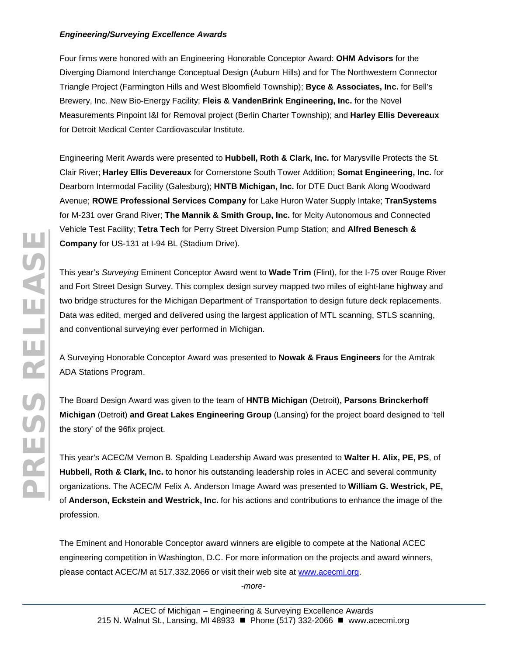## *Engineering/Surveying Excellence Awards*

Four firms were honored with an Engineering Honorable Conceptor Award: **OHM Advisors** for the Diverging Diamond Interchange Conceptual Design (Auburn Hills) and for The Northwestern Connector Triangle Project (Farmington Hills and West Bloomfield Township); **Byce & Associates, Inc.** for Bell's Brewery, Inc. New Bio-Energy Facility; **Fleis & VandenBrink Engineering, Inc.** for the Novel Measurements Pinpoint I&I for Removal project (Berlin Charter Township); and **Harley Ellis Devereaux** for Detroit Medical Center Cardiovascular Institute.

Engineering Merit Awards were presented to **Hubbell, Roth & Clark, Inc.** for Marysville Protects the St. Clair River; **Harley Ellis Devereaux** for Cornerstone South Tower Addition; **Somat Engineering, Inc.** for Dearborn Intermodal Facility (Galesburg); **HNTB Michigan, Inc.** for DTE Duct Bank Along Woodward Avenue; **ROWE Professional Services Company** for Lake Huron Water Supply Intake; **TranSystems** for M-231 over Grand River; **The Mannik & Smith Group, Inc.** for Mcity Autonomous and Connected Vehicle Test Facility; **Tetra Tech** for Perry Street Diversion Pump Station; and **Alfred Benesch & Company** for US-131 at I-94 BL (Stadium Drive).

This year's *Surveying* Eminent Conceptor Award went to **Wade Trim** (Flint), for the I-75 over Rouge River and Fort Street Design Survey. This complex design survey mapped two miles of eight-lane highway and two bridge structures for the Michigan Department of Transportation to design future deck replacements. Data was edited, merged and delivered using the largest application of MTL scanning, STLS scanning, and conventional surveying ever performed in Michigan.

A Surveying Honorable Conceptor Award was presented to **Nowak & Fraus Engineers** for the Amtrak ADA Stations Program.

The Board Design Award was given to the team of **HNTB Michigan** (Detroit)**, Parsons Brinckerhoff Michigan** (Detroit) **and Great Lakes Engineering Group** (Lansing) for the project board designed to 'tell the story' of the 96fix project.

This year's ACEC/M Vernon B. Spalding Leadership Award was presented to **Walter H. Alix, PE, PS**, of **Hubbell, Roth & Clark, Inc.** to honor his outstanding leadership roles in ACEC and several community organizations. The ACEC/M Felix A. Anderson Image Award was presented to **William G. Westrick, PE,** of **Anderson, Eckstein and Westrick, Inc.** for his actions and contributions to enhance the image of the profession.

The Eminent and Honorable Conceptor award winners are eligible to compete at the National ACEC engineering competition in Washington, D.C. For more information on the projects and award winners, please contact ACEC/M at 517.332.2066 or visit their web site at [www.acecmi.org.](http://www.acecmi.org/)

*-more-*